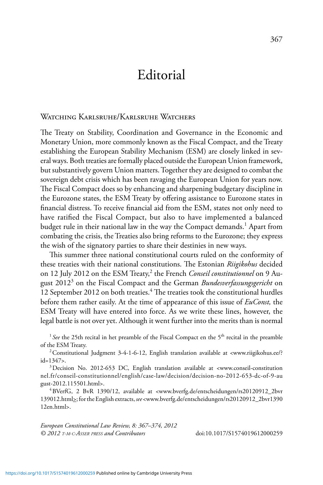# Editorial

# Watching Karlsruhe/Karlsruhe Watchers

The Treaty on Stability, Coordination and Governance in the Economic and Monetary Union, more commonly known as the Fiscal Compact, and the Treaty establishing the European Stability Mechanism (ESM) are closely linked in several ways. Both treaties are formally placed outside the European Union framework, but substantively govern Union matters. Together they are designed to combat the sovereign debt crisis which has been ravaging the European Union for years now. The Fiscal Compact does so by enhancing and sharpening budgetary discipline in the Eurozone states, the ESM Treaty by offering assistance to Eurozone states in financial distress. To receive financial aid from the ESM, states not only need to have ratified the Fiscal Compact, but also to have implemented a balanced budget rule in their national law in the way the Compact demands.<sup>1</sup> Apart from combating the crisis, the Treaties also bring reforms to the Eurozone; they express the wish of the signatory parties to share their destinies in new ways.

This summer three national constitutional courts ruled on the conformity of these treaties with their national constitutions. The Estonian *Riigikohus* decided on 12 July 2012 on the ESM Treaty,<sup>2</sup> the French *Conseil constitutionnel* on 9 August 2012<sup>3</sup> on the Fiscal Compact and the German *Bundesverfassungsgericht* on 12 September 2012 on both treaties.<sup>4</sup> The treaties took the constitutional hurdles before them rather easily. At the time of appearance of this issue of *EuConst,* the ESM Treaty will have entered into force. As we write these lines, however, the legal battle is not over yet. Although it went further into the merits than is normal

<sup>1</sup> See the 25th recital in het preamble of the Fiscal Compact en the 5<sup>th</sup> recital in the preamble of the ESM Treaty.

<sup>2</sup> Constitutional Judgment 3-4-1-6-12, English translation available at <www.riigikohus.ee/? id=1347>.

 $3$  Decision No. 2012-653 DC, English translation available at <www.conseil-constitution nel.fr/conseil-constitutionnel/english/case-law/decision/decision-no-2012-653-dc-of-9-au gust-2012.115501.html>.

4  [BVerfG, 2 BvR](https://doi.org/10.1017/S1574019612000259) 1390/12, available at <www.bverfg.de/entscheidungen/rs20120912\_2bvr 139012.html>; for the English extracts, *see* <www.bverfg.de/entscheidungen/rs20120912\_2bvr1390 12en.html>.

*European Constitutional Law Review, 8: 367–374, 2012 © 2012 T.M.C.ASSER PRESS and Contributors* doi:10.1017/S1574019612000259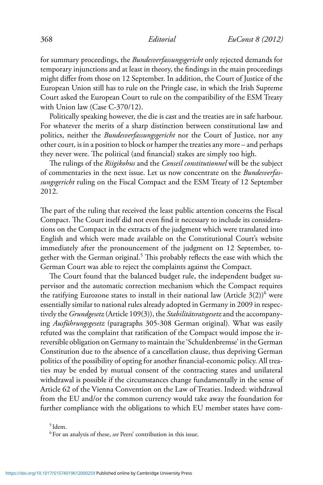for summary proceedings, the *Bundesverfassungsgericht* only rejected demands for temporary injunctions and at least in theory, the findings in the main proceedings might differ from those on 12 September. In addition, the Court of Justice of the European Union still has to rule on the Pringle case, in which the Irish Supreme Court asked the European Court to rule on the compatibility of the ESM Treaty with Union law (Case C-370/12).

Politically speaking however, the die is cast and the treaties are in safe harbour. For whatever the merits of a sharp distinction between constitutional law and politics, neither the *Bundesverfassungsgericht* nor the Court of Justice, nor any other court, is in a position to block or hamper the treaties any more – and perhaps they never were. The political (and financial) stakes are simply too high.

The rulings of the *Riigikohus* and the *Conseil constitutionnel* will be the subject of commentaries in the next issue. Let us now concentrate on the *Bundesverfassungsgericht* ruling on the Fiscal Compact and the ESM Treaty of 12 September 2012.

The part of the ruling that received the least public attention concerns the Fiscal Compact. The Court itself did not even find it necessary to include its considerations on the Compact in the extracts of the judgment which were translated into English and which were made available on the Constitutional Court's website immediately after the pronouncement of the judgment on 12 September, together with the German original. $^5$  This probably reflects the ease with which the German Court was able to reject the complaints against the Compact.

The Court found that the balanced budget rule, the independent budget supervisor and the automatic correction mechanism which the Compact requires the ratifying Eurozone states to install in their national law (Article  $3(2))^6$  were essentially similar to national rules already adopted in Germany in 2009 in respectively the *Grundgesetz* (Article 109(3)), the *Stabilitätsratsgesetz* and the accompanying *Ausführungsgesetz* (paragraphs 305-308 German original)*.* What was easily refuted was the complaint that ratification of the Compact would impose the irreversible obligation on Germany to maintain the 'Schuldenbremse' in the German Constitution due to the absence of a cancellation clause, thus depriving German politics of the possibility of opting for another financial-economic policy. All treaties may be ended by mutual consent of the contracting states and unilateral withdrawal is possible if the circumstances change fundamentally in the sense of [Article 62 of the V](https://doi.org/10.1017/S1574019612000259)ienna Convention on the Law of Treaties. Indeed: withdrawal from the EU and/or the common currency would take away the foundation for further compliance with the obligations to which EU member states have com-

<sup>5</sup> Idem.

<sup>6</sup> For an analysis of these, *see* Peers' contribution in this issue.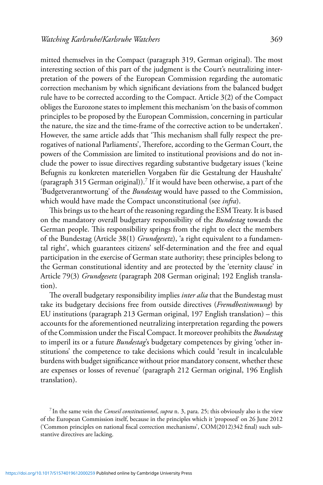# *Watching Karlsruhe/Karlsruhe Watchers* 369

mitted themselves in the Compact (paragraph 319, German original). The most interesting section of this part of the judgment is the Court's neutralizing interpretation of the powers of the European Commission regarding the automatic correction mechanism by which significant deviations from the balanced budget rule have to be corrected according to the Compact. Article 3(2) of the Compact obliges the Eurozone states to implement this mechanism 'on the basis of common principles to be proposed by the European Commission, concerning in particular the nature, the size and the time-frame of the corrective action to be undertaken'. However, the same article adds that 'This mechanism shall fully respect the prerogatives of national Parliaments', Therefore, according to the German Court, the powers of the Commission are limited to institutional provisions and do not include the power to issue directives regarding substantive budgetary issues ('keine Befugnis zu konkreten materiellen Vorgaben für die Gestaltung der Haushalte' (paragraph 315 German original)).<sup>7</sup> If it would have been otherwise, a part of the 'Budgetverantwortung' of the *Bundestag* would have passed to the Commission, which would have made the Compact unconstitutional (see *infra*).

This brings us to the heart of the reasoning regarding the ESM Treaty. It is based on the mandatory overall budgetary responsibility of the *Bundestag* towards the German people. This responsibility springs from the right to elect the members of the Bundestag (Article 38(1) *Grundgesetz*), 'a right equivalent to a fundamental right', which guarantees citizens' self-determination and the free and equal participation in the exercise of German state authority; these principles belong to the German constitutional identity and are protected by the 'eternity clause' in Article 79(3) *Grundgesetz* (paragraph 208 German original; 192 English translation).

The overall budgetary responsibility implies *inter alia* that the Bundestag must take its budgetary decisions free from outside directives (*Fremdbestimmung*) by EU institutions (paragraph 213 German original, 197 English translation) – this accounts for the aforementioned neutralizing interpretation regarding the powers of the Commission under the Fiscal Compact. It moreover prohibits the *Bundestag*  to imperil its or a future *Bundestag*'s budgetary competences by giving 'other institutions' the competence to take decisions which could 'result in incalculable burdens with budget significance without prior mandatory consent, whether these are expenses or losses of revenue' (paragraph 212 German original, 196 English translation).

<sup>7</sup> In the same vein the *Conseil constitutionnel*, *supra* n. 3, para. 25; this obviously also is the view of the European Commission itself, because in the principles which it 'proposed' on 26 June 2012 ('Common principles on national fiscal correction mechanisms', COM(2012)342 final) such substantive directives are lacking.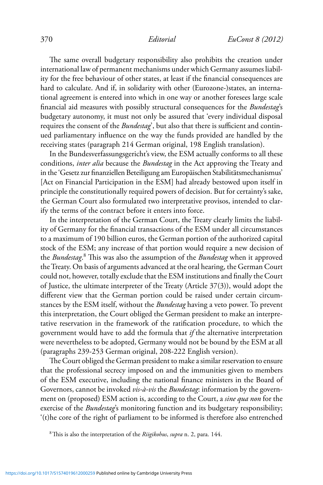The same overall budgetary responsibility also prohibits the creation under international law of permanent mechanisms under which Germany assumes liability for the free behaviour of other states, at least if the financial consequences are hard to calculate. And if, in solidarity with other (Eurozone-)states, an international agreement is entered into which in one way or another foresees large scale fi nancial aid measures with possibly structural consequences for the *Bundestag*'s budgetary autonomy, it must not only be assured that 'every individual disposal requires the consent of the *Bundestag*', but also that there is sufficient and continued parliamentary influence on the way the funds provided are handled by the receiving states (paragraph 214 German original, 198 English translation).

In the Bundesverfassungsgericht's view, the ESM actually conforms to all these conditions, *inter alia* because the *Bundestag* in the Act approving the Treaty and in the 'Gesetz zur finanziellen Beteiligung am Europäischen Stabilitätsmechanismus' [Act on Financial Participation in the ESM] had already bestowed upon itself in principle the constitutionally required powers of decision. But for certainty's sake, the German Court also formulated two interpretative provisos, intended to clarify the terms of the contract before it enters into force.

In the interpretation of the German Court, the Treaty clearly limits the liability of Germany for the financial transactions of the ESM under all circumstances to a maximum of 190 billion euros, the German portion of the authorized capital stock of the ESM; any increase of that portion would require a new decision of the *Bundestag*.<sup>8</sup> This was also the assumption of the *Bundestag* when it approved the Treaty. On basis of arguments advanced at the oral hearing, the German Court could not, however, totally exclude that the ESM institutions and finally the Court of Justice, the ultimate interpreter of the Treaty (Article 37(3)), would adopt the different view that the German portion could be raised under certain circumstances by the ESM itself, without the *Bundestag* having a veto power. To prevent this interpretation, the Court obliged the German president to make an interpretative reservation in the framework of the ratification procedure, to which the government would have to add the formula that *if* the alternative interpretation were nevertheless to be adopted, Germany would not be bound by the ESM at all (paragraphs 239-253 German original, 208-222 English version).

The Court obliged the German president to make a similar reservation to ensure that the professional secrecy imposed on and the immunities given to members of the ESM executive, including the national finance ministers in the Board of [Governors, cannot](https://doi.org/10.1017/S1574019612000259) be invoked *vis-à-vis* the *Bundestag*: information by the government on (proposed) ESM action is, according to the Court, a *sine qua non* for the exercise of the *Bundestag*'s monitoring function and its budgetary responsibility; '(t)he core of the right of parliament to be informed is therefore also entrenched

<sup>&</sup>lt;sup>8</sup> This is also the interpretation of the *Riigikohus, supra* n. 2, para. 144.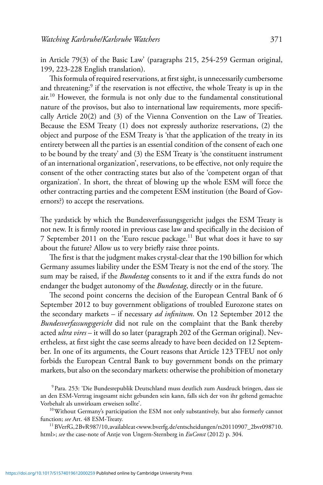### *Watching Karlsruhe/Karlsruhe Watchers* 371

in Article 79(3) of the Basic Law' (paragraphs 215, 254-259 German original, 199, 223-228 English translation).

This formula of required reservations, at first sight, is unnecessarily cumbersome and threatening:<sup>9</sup> if the reservation is not effective, the whole Treaty is up in the  $air<sup>10</sup>$  However, the formula is not only due to the fundamental constitutional nature of the provisos, but also to international law requirements, more specifically Article 20(2) and (3) of the Vienna Convention on the Law of Treaties. Because the ESM Treaty (1) does not expressly authorize reservations, (2) the object and purpose of the ESM Treaty is 'that the application of the treaty in its entirety between all the parties is an essential condition of the consent of each one to be bound by the treaty' and (3) the ESM Treaty is 'the constituent instrument of an international organization', reservations, to be effective, not only require the consent of the other contracting states but also of the 'competent organ of that organization'. In short, the threat of blowing up the whole ESM will force the other contracting parties and the competent ESM institution (the Board of Governors?) to accept the reservations.

The yardstick by which the Bundesverfassungsgericht judges the ESM Treaty is not new. It is firmly rooted in previous case law and specifically in the decision of 7 September 2011 on the 'Euro rescue package.<sup>11</sup> But what does it have to say about the future? Allow us to very briefly raise three points.

The first is that the judgment makes crystal-clear that the 190 billion for which Germany assumes liability under the ESM Treaty is not the end of the story. The sum may be raised, if the *Bundestag* consents to it and if the extra funds do not endanger the budget autonomy of the *Bundestag*, directly or in the future.

The second point concerns the decision of the European Central Bank of 6 September 2012 to buy government obligations of troubled Eurozone states on the secondary markets – if necessary *ad infinitum*. On 12 September 2012 the *Bundesverfassungsgericht* did not rule on the complaint that the Bank thereby acted *ultra vires* – it will do so later (paragraph 202 of the German original). Nevertheless, at first sight the case seems already to have been decided on 12 September. In one of its arguments, the Court reasons that Article 123 TFEU not only forbids the European Central Bank to buy government bonds on the primary markets, but also on the secondary markets: otherwise the prohibition of monetary

 9 Para. 253: 'Die Bundesrepublik Deutschland muss deutlich zum Ausdruck bringen, dass sie [an den ESM-Vertrag in](https://doi.org/10.1017/S1574019612000259)sgesamt nicht gebunden sein kann, falls sich der von ihr geltend gemachte Vorbehalt als unwirksam erweisen sollte'.

 $10$  Without Germany's participation the ESM not only substantively, but also formerly cannot function; *see* Art. 48 ESM-Treaty. 11 BVerfG, 2 BvR 987/10, available at <www.bverfg.de/entscheidungen/rs20110907\_2bvr098710.

html>; *see* the case-note of Antje von Ungern-Sternberg in *EuConst* (2012) p. 304.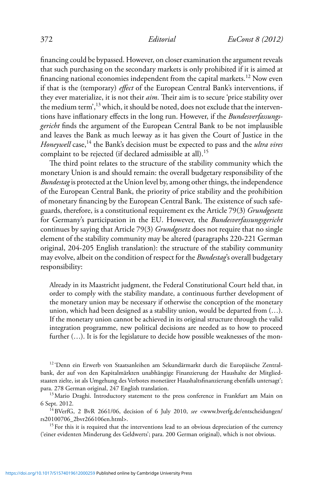financing could be bypassed. However, on closer examination the argument reveals that such purchasing on the secondary markets is only prohibited if it is aimed at financing national economies independent from the capital markets.<sup>12</sup> Now even if that is the (temporary) *effect* of the European Central Bank's interventions, if they ever materialize, it is not their *aim*. Their aim is to secure 'price stability over the medium term',  $^{13}$  which, it should be noted, does not exclude that the interventions have inflationary effects in the long run. However, if the *Bundesverfassungs*gericht finds the argument of the European Central Bank to be not implausible and leaves the Bank as much leeway as it has given the Court of Justice in the *Honeywell* case,<sup>14</sup> the Bank's decision must be expected to pass and the *ultra vires* complaint to be rejected (if declared admissible at all).<sup>15</sup>

The third point relates to the structure of the stability community which the monetary Union is and should remain: the overall budgetary responsibility of the *Bundestag* is protected at the Union level by, among other things, the independence of the European Central Bank, the priority of price stability and the prohibition of monetary financing by the European Central Bank. The existence of such safeguards, therefore, is a constitutional requirement ex the Article 79(3) *Grundgesetz* for Germany's participation in the EU. However, the *Bundesverfassungsgericht*  continues by saying that Article 79(3) *Grundgesetz* does not require that no single element of the stability community may be altered (paragraphs 220-221 German original, 204-205 English translation): the structure of the stability community may evolve, albeit on the condition of respect for the *Bundestag*'s overall budgetary responsibility:

Already in its Maastricht judgment, the Federal Constitutional Court held that, in order to comply with the stability mandate, a continuous further development of the monetary union may be necessary if otherwise the conception of the monetary union, which had been designed as a stability union, would be departed from (…). If the monetary union cannot be achieved in its original structure through the valid integration programme, new political decisions are needed as to how to proceed further (…). It is for the legislature to decide how possible weaknesses of the mon-

<sup>12</sup> 'Denn ein Erwerb von Staatsanleihen am Sekundärmarkt durch die Europäische Zentralbank, der auf von den Kapitalmärkten unabhängige Finanzierung der Haushalte der Mitgliedstaaten zielte, ist als Umgehung des Verbotes monetärer Haushaltsfinanzierung ebenfalls untersagt'; para. 278 German original, 247 English translation.

<sup>13</sup> Mario Draghi. Introductory statement to the press conference in Frankfurt am Main on 6 Sept. 2012. 14 BVerfG, 2 BvR 2661/06, decision of 6 July 2010, *see* <www.bverfg.de/entscheidungen/

rs20100706\_2bvr266106en.html>. 15 For this it is required that the interventions lead to an obvious depreciation of the currency

('einer evidenten Minderung des Geldwerts'; para. 200 German original), which is not obvious.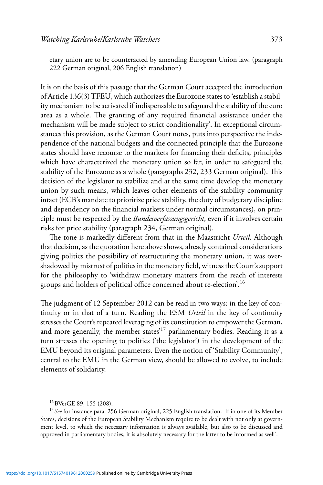# *Watching Karlsruhe/Karlsruhe Watchers* 373

etary union are to be counteracted by amending European Union law. (paragraph 222 German original, 206 English translation)

It is on the basis of this passage that the German Court accepted the introduction of Article 136(3) TFEU, which authorizes the Eurozone states to 'establish a stability mechanism to be activated if indispensable to safeguard the stability of the euro area as a whole. The granting of any required financial assistance under the mechanism will be made subject to strict conditionality'. In exceptional circumstances this provision, as the German Court notes, puts into perspective the independence of the national budgets and the connected principle that the Eurozone states should have recourse to the markets for financing their deficits, principles which have characterized the monetary union so far, in order to safeguard the stability of the Eurozone as a whole (paragraphs 232, 233 German original). This decision of the legislator to stabilize and at the same time develop the monetary union by such means, which leaves other elements of the stability community intact (ECB's mandate to prioritize price stability, the duty of budgetary discipline and dependency on the financial markets under normal circumstances), on principle must be respected by the *Bundesverfassungsgericht*, even if it involves certain risks for price stability (paragraph 234, German original).

The tone is markedly different from that in the Maastricht *Urteil*. Although that decision, as the quotation here above shows, already contained considerations giving politics the possibility of restructuring the monetary union, it was overshadowed by mistrust of politics in the monetary field, witness the Court's support for the philosophy to 'withdraw monetary matters from the reach of interests groups and holders of political office concerned about re-election'.<sup>16</sup>

The judgment of 12 September 2012 can be read in two ways: in the key of continuity or in that of a turn. Reading the ESM *Urteil* in the key of continuity stresses the Court's repeated leveraging of its constitution to empower the German, and more generally, the member states<sup>'17</sup> parliamentary bodies. Reading it as a turn stresses the opening to politics ('the legislator') in the development of the EMU beyond its original parameters. Even the notion of 'Stability Community', central to the EMU in the German view, should be allowed to evolve, to include elements of solidarity.

<sup>&</sup>lt;sup>16</sup> BVerGE 89, 155 (208).

<sup>&</sup>lt;sup>17</sup> See for instance para. 256 German original, 225 English translation: 'If in one of its Member States, decisions of the European Stability Mechanism require to be dealt with not only at government level, to which the necessary information is always available, but also to be discussed and approved in parliamentary bodies, it is absolutely necessary for the latter to be informed as well'.